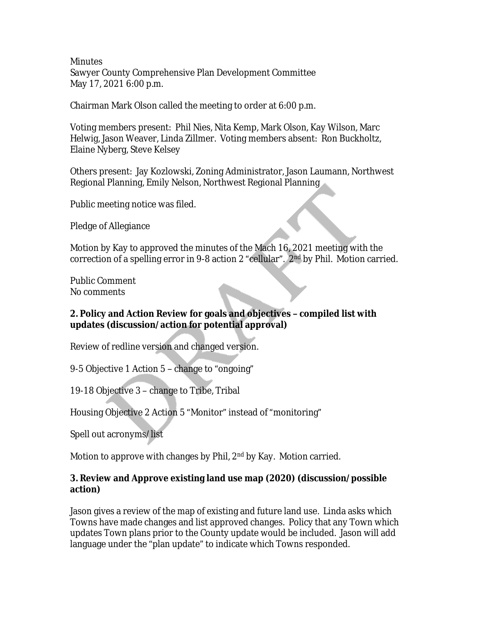**Minutes** Sawyer County Comprehensive Plan Development Committee May 17, 2021 6:00 p.m.

Chairman Mark Olson called the meeting to order at 6:00 p.m.

Voting members present: Phil Nies, Nita Kemp, Mark Olson, Kay Wilson, Marc Helwig, Jason Weaver, Linda Zillmer. Voting members absent: Ron Buckholtz, Elaine Nyberg, Steve Kelsey

Others present: Jay Kozlowski, Zoning Administrator, Jason Laumann, Northwest Regional Planning, Emily Nelson, Northwest Regional Planning

Public meeting notice was filed.

Pledge of Allegiance

Motion by Kay to approved the minutes of the Mach 16, 2021 meeting with the correction of a spelling error in 9-8 action 2 "cellular". 2<sup>nd</sup> by Phil. Motion carried.

Public Comment No comments

### **2. Policy and Action Review for goals and objectives – compiled list with updates (discussion/action for potential approval)**

Review of redline version and changed version.

9-5 Objective 1 Action 5 – change to "ongoing"

19-18 Objective 3 – change to Tribe, Tribal

Housing Objective 2 Action 5 "Monitor" instead of "monitoring"

Spell out acronyms/list

Motion to approve with changes by Phil, 2<sup>nd</sup> by Kay. Motion carried.

### **3. Review and Approve existing land use map (2020) (discussion/possible action)**

Jason gives a review of the map of existing and future land use. Linda asks which Towns have made changes and list approved changes. Policy that any Town which updates Town plans prior to the County update would be included. Jason will add language under the "plan update" to indicate which Towns responded.